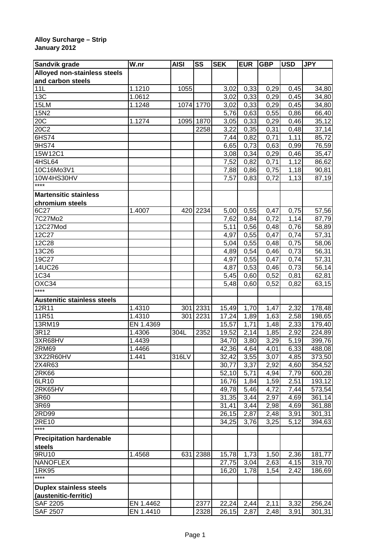## **Alloy Surcharge – Strip January 2012**

| Sandvik grade                      | W.nr      | <b>AISI</b> | SS        | <b>SEK</b>     | <b>EUR</b>   | <b>GBP</b>   | <b>USD</b>   | <b>JPY</b>       |
|------------------------------------|-----------|-------------|-----------|----------------|--------------|--------------|--------------|------------------|
| Alloyed non-stainless steels       |           |             |           |                |              |              |              |                  |
| and carbon steels                  |           |             |           |                |              |              |              |                  |
| 11L                                | 1.1210    | 1055        |           | 3,02           | 0,33         | 0,29         | 0,45         | 34,80            |
| 13C                                | 1.0612    |             |           | 3,02           | 0,33         | 0,29         | 0,45         | 34,80            |
| 15LM                               | 1.1248    |             | 1074 1770 | 3,02           | 0,33         | 0,29         | 0,45         | 34,80            |
| 15N2                               |           |             |           | 5,76           | 0,63         | 0,55         | 0,86         | 66,40            |
| 20C                                | 1.1274    | 1095        | 1870      | 3,05           | 0,33         | 0,29         | 0,46         | 35,12            |
| 20C2                               |           |             | 2258      | 3,22           | 0,35         | 0,31         | 0,48         | 37,14            |
| 6HS74                              |           |             |           | 7,44           | 0,82         | 0,71         | 1,11         | 85,72            |
| 9HS74                              |           |             |           | 6,65           | 0,73         | 0,63         | 0,99         | 76,59            |
| 15W12C1                            |           |             |           | 3,08           | 0,34         | 0,29         | 0,46         | 35,47            |
| 4HSL64                             |           |             |           | 7,52           | 0,82         | 0,71         | 1,12         | 86,62            |
| 10C16Mo3V1                         |           |             |           | 7,88           | 0,86         | 0,75         | 1,18         | 90,81            |
| 10W4HS30HV                         |           |             |           | 7,57           | 0,83         | 0,72         | 1,13         | 87,19            |
| ****                               |           |             |           |                |              |              |              |                  |
| <b>Martensitic stainless</b>       |           |             |           |                |              |              |              |                  |
| chromium steels                    |           |             |           |                |              |              |              |                  |
| 6C27                               | 1.4007    | 420         | 2234      | 5,00           | 0,55         | 0,47         | 0,75         | 57,56            |
| 7C27Mo2                            |           |             |           | 7,62           | 0,84         | 0,72         | 1,14         | 87,79            |
| 12C27Mod                           |           |             |           | 5,11           | 0,56         | 0,48         | 0,76         | 58,89            |
| 12C27                              |           |             |           | 4,97           | 0,55         | 0,47         | 0,74         | 57,31            |
| 12C28                              |           |             |           | 5,04           | 0,55         | 0,48         | 0,75         | 58,06            |
| 13C26                              |           |             |           | 4,89           | 0,54         | 0,46         | 0,73         | 56,31            |
| 19C27                              |           |             |           | 4,97           | 0,55         | 0,47         | 0,74         | 57,31            |
| 14UC26                             |           |             |           | 4,87           | 0,53         | 0,46         | 0,73         | 56,14            |
| 1C34                               |           |             |           | 5,45           | 0,60         | 0,52         | 0,81         | 62,81            |
| OXC34                              |           |             |           | 5,48           | 0,60         | 0,52         | 0,82         | 63,15            |
| ****                               |           |             |           |                |              |              |              |                  |
| <b>Austenitic stainless steels</b> |           |             |           |                |              |              |              |                  |
| 12R11                              | 1.4310    | 301         | 2331      | 15,49          | 1,70         | 1,47         | 2,32         | 178,48           |
| 11R51                              | 1.4310    | 301         | 2231      | 17,24          | 1,89         | 1,63         | 2,58         | 198,65           |
| 13RM19                             | EN 1.4369 |             |           | 15,57          | 1,71         | 1,48         | 2,33         | 179,40           |
| 3R12                               | 1.4306    | 304L        | 2352      | 19,52          | 2,14         | 1,85         | 2,92         | 224,89           |
| 3XR68HV                            | 1.4439    |             |           | 34,70          | 3,80         | 3,29         | 5,19         | 399,76           |
| 2RM69                              | 1.4466    |             |           | 42,36          | 4,64         | 4,01         | 6,33         | 488,08           |
|                                    | 1.441     |             |           |                |              |              |              |                  |
| 3X22R60HV<br>2X4R63                |           | 316LV       |           | 32,42<br>30,77 | 3,55<br>3,37 | 3,07<br>2,92 | 4,85<br>4,60 | 373,50           |
| <b>2RK66</b>                       |           |             |           | 52,10          | 5,71         | 4,94         | 7,79         | 354,52<br>600,28 |
| 6LR10                              |           |             |           | 16,76          | 1,84         |              | 2,51         | 193,12           |
| 2RK65HV                            |           |             |           |                |              | 1,59         |              |                  |
|                                    |           |             |           | 49,78          | 5,46         | 4,72         | 7,44         | 573,54           |
| 3R60                               |           |             |           | 31,35          | 3,44         | 2,97         | 4,69         | 361,14           |
| 3R69                               |           |             |           | 31,41          | 3,44         | 2,98         | 4,69         | 361,88           |
| 2RD99                              |           |             |           | 26,15          | 2,87         | 2,48         | 3,91         | 301,31           |
| 2RE10<br>$***$                     |           |             |           | 34,25          | 3,76         | 3,25         | 5,12         | 394,63           |
|                                    |           |             |           |                |              |              |              |                  |
| <b>Precipitation hardenable</b>    |           |             |           |                |              |              |              |                  |
| steels                             |           |             |           |                |              |              |              |                  |
| 9RU10                              | 1.4568    | 631         | 2388      | 15,78          | 1,73         | 1,50         | 2,36         | 181,77           |
| <b>NANOFLEX</b>                    |           |             |           | 27,75          | 3,04         | 2,63         | 4,15         | 319,70           |
| 1RK95<br>****                      |           |             |           | 16,20          | 1,78         | 1,54         | 2,42         | 186,69           |
|                                    |           |             |           |                |              |              |              |                  |
| <b>Duplex stainless steels</b>     |           |             |           |                |              |              |              |                  |
| (austenitic-ferritic)              |           |             |           |                |              |              |              |                  |
| <b>SAF 2205</b>                    | EN 1.4462 |             | 2377      | 22,24          | 2,44         | 2,11         | 3,32         | 256,24           |
| <b>SAF 2507</b>                    | EN 1.4410 |             | 2328      | 26,15          | 2,87         | 2,48         | 3,91         | 301,31           |